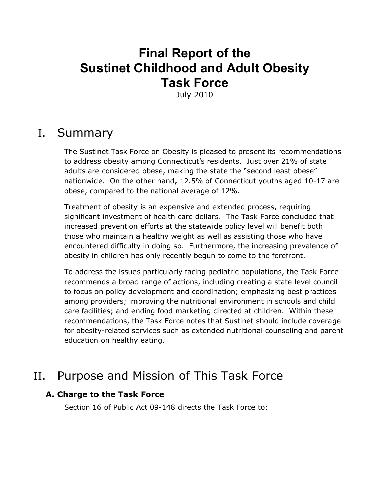# **Final Report of the Sustinet Childhood and Adult Obesity Task Force**

July 2010

# I. Summary

The Sustinet Task Force on Obesity is pleased to present its recommendations to address obesity among Connecticut's residents. Just over 21% of state adults are considered obese, making the state the "second least obese" nationwide. On the other hand, 12.5% of Connecticut youths aged 10-17 are obese, compared to the national average of 12%.

Treatment of obesity is an expensive and extended process, requiring significant investment of health care dollars. The Task Force concluded that increased prevention efforts at the statewide policy level will benefit both those who maintain a healthy weight as well as assisting those who have encountered difficulty in doing so. Furthermore, the increasing prevalence of obesity in children has only recently begun to come to the forefront.

To address the issues particularly facing pediatric populations, the Task Force recommends a broad range of actions, including creating a state level council to focus on policy development and coordination; emphasizing best practices among providers; improving the nutritional environment in schools and child care facilities; and ending food marketing directed at children. Within these recommendations, the Task Force notes that Sustinet should include coverage for obesity-related services such as extended nutritional counseling and parent education on healthy eating.

# II. Purpose and Mission of This Task Force

### **A. Charge to the Task Force**

Section 16 of Public Act 09-148 directs the Task Force to: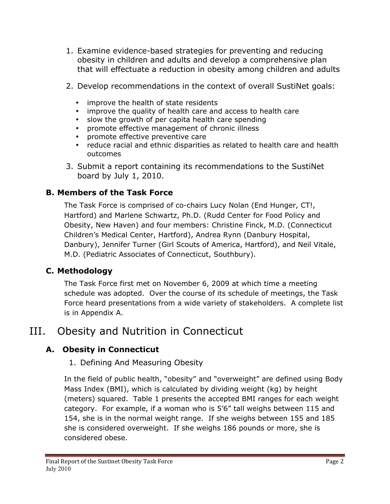- 1. Examine evidence-based strategies for preventing and reducing obesity in children and adults and develop a comprehensive plan that will effectuate a reduction in obesity among children and adults
- 2. Develop recommendations in the context of overall SustiNet goals:
	- improve the health of state residents
	- improve the quality of health care and access to health care
	- slow the growth of per capita health care spending
	- promote effective management of chronic illness
	- promote effective preventive care
	- reduce racial and ethnic disparities as related to health care and health outcomes
- 3. Submit a report containing its recommendations to the SustiNet board by July 1, 2010.

## **B. Members of the Task Force**

The Task Force is comprised of co-chairs Lucy Nolan (End Hunger, CT!, Hartford) and Marlene Schwartz, Ph.D. (Rudd Center for Food Policy and Obesity, New Haven) and four members: Christine Finck, M.D. (Connecticut Children's Medical Center, Hartford), Andrea Rynn (Danbury Hospital, Danbury), Jennifer Turner (Girl Scouts of America, Hartford), and Neil Vitale, M.D. (Pediatric Associates of Connecticut, Southbury).

## **C. Methodology**

The Task Force first met on November 6, 2009 at which time a meeting schedule was adopted. Over the course of its schedule of meetings, the Task Force heard presentations from a wide variety of stakeholders. A complete list is in Appendix A.

# III. Obesity and Nutrition in Connecticut

# **A. Obesity in Connecticut**

## 1. Defining And Measuring Obesity

In the field of public health, "obesity" and "overweight" are defined using Body Mass Index (BMI), which is calculated by dividing weight (kg) by height (meters) squared. Table 1 presents the accepted BMI ranges for each weight category. For example, if a woman who is 5'6" tall weighs between 115 and 154, she is in the normal weight range. If she weighs between 155 and 185 she is considered overweight. If she weighs 186 pounds or more, she is considered obese.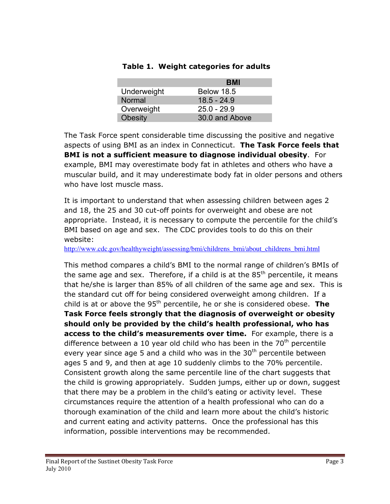|                | BMI            |
|----------------|----------------|
| Underweight    | Below 18.5     |
| Normal         | $18.5 - 24.9$  |
| Overweight     | $25.0 - 29.9$  |
| <b>Obesity</b> | 30.0 and Above |

#### **Table 1. Weight categories for adults**

The Task Force spent considerable time discussing the positive and negative aspects of using BMI as an index in Connecticut. **The Task Force feels that BMI is not a sufficient measure to diagnose individual obesity**. For example, BMI may overestimate body fat in athletes and others who have a muscular build, and it may underestimate body fat in older persons and others who have lost muscle mass.

It is important to understand that when assessing children between ages 2 and 18, the 25 and 30 cut-off points for overweight and obese are not appropriate. Instead, it is necessary to compute the percentile for the child's BMI based on age and sex. The CDC provides tools to do this on their website:

http://www.cdc.gov/healthyweight/assessing/bmi/childrens\_bmi/about\_childrens\_bmi.html

This method compares a child's BMI to the normal range of children's BMIs of the same age and sex. Therefore, if a child is at the  $85<sup>th</sup>$  percentile, it means that he/she is larger than 85% of all children of the same age and sex. This is the standard cut off for being considered overweight among children. If a child is at or above the 95th percentile, he or she is considered obese. **The Task Force feels strongly that the diagnosis of overweight or obesity should only be provided by the child's health professional, who has access to the child's measurements over time.** For example, there is a difference between a 10 year old child who has been in the  $70<sup>th</sup>$  percentile every year since age 5 and a child who was in the  $30<sup>th</sup>$  percentile between ages 5 and 9, and then at age 10 suddenly climbs to the 70% percentile. Consistent growth along the same percentile line of the chart suggests that the child is growing appropriately. Sudden jumps, either up or down, suggest that there may be a problem in the child's eating or activity level. These circumstances require the attention of a health professional who can do a thorough examination of the child and learn more about the child's historic and current eating and activity patterns. Once the professional has this information, possible interventions may be recommended.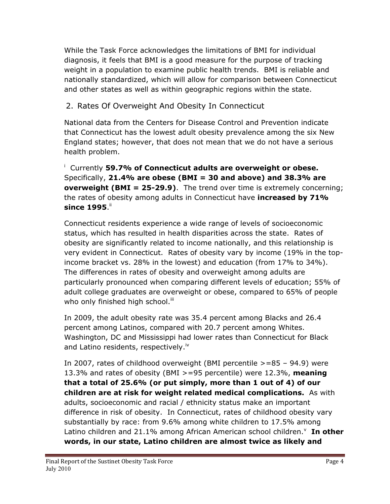While the Task Force acknowledges the limitations of BMI for individual diagnosis, it feels that BMI is a good measure for the purpose of tracking weight in a population to examine public health trends. BMI is reliable and nationally standardized, which will allow for comparison between Connecticut and other states as well as within geographic regions within the state.

## 2. Rates Of Overweight And Obesity In Connecticut

National data from the Centers for Disease Control and Prevention indicate that Connecticut has the lowest adult obesity prevalence among the six New England states; however, that does not mean that we do not have a serious health problem.

<sup>i</sup> Currently **59.7% of Connecticut adults are overweight or obese.** Specifically, **21.4% are obese (BMI = 30 and above) and 38.3% are overweight (BMI = 25-29.9)**. The trend over time is extremely concerning; the rates of obesity among adults in Connecticut have **increased by 71% since 1995**."

Connecticut residents experience a wide range of levels of socioeconomic status, which has resulted in health disparities across the state. Rates of obesity are significantly related to income nationally, and this relationship is very evident in Connecticut. Rates of obesity vary by income (19% in the topincome bracket vs. 28% in the lowest) and education (from 17% to 34%). The differences in rates of obesity and overweight among adults are particularly pronounced when comparing different levels of education; 55% of adult college graduates are overweight or obese, compared to 65% of people who only finished high school.<sup>iii</sup>

In 2009, the adult obesity rate was 35.4 percent among Blacks and 26.4 percent among Latinos, compared with 20.7 percent among Whites. Washington, DC and Mississippi had lower rates than Connecticut for Black and Latino residents, respectively.<sup>iv</sup>

In 2007, rates of childhood overweight (BMI percentile >=85 – 94.9) were 13.3% and rates of obesity (BMI >=95 percentile) were 12.3%, **meaning that a total of 25.6% (or put simply, more than 1 out of 4) of our children are at risk for weight related medical complications.** As with adults, socioeconomic and racial / ethnicity status make an important difference in risk of obesity. In Connecticut, rates of childhood obesity vary substantially by race: from 9.6% among white children to 17.5% among Latino children and 21.1% among African American school children.<sup>v</sup> In other **words, in our state, Latino children are almost twice as likely and**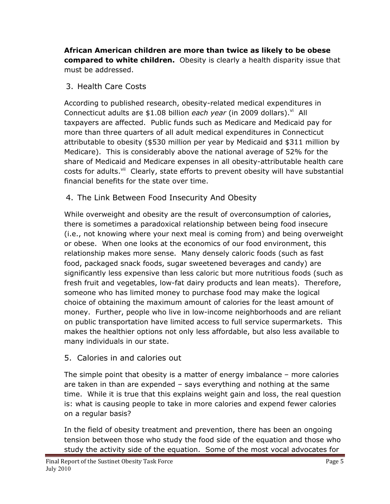**African American children are more than twice as likely to be obese compared to white children.** Obesity is clearly a health disparity issue that must be addressed.

3. Health Care Costs

According to published research, obesity-related medical expenditures in Connecticut adults are \$1.08 billion *each year* (in 2009 dollars).<sup>vi</sup> All taxpayers are affected. Public funds such as Medicare and Medicaid pay for more than three quarters of all adult medical expenditures in Connecticut attributable to obesity (\$530 million per year by Medicaid and \$311 million by Medicare). This is considerably above the national average of 52% for the share of Medicaid and Medicare expenses in all obesity-attributable health care costs for adults.<sup>vii</sup> Clearly, state efforts to prevent obesity will have substantial financial benefits for the state over time.

4. The Link Between Food Insecurity And Obesity

While overweight and obesity are the result of overconsumption of calories, there is sometimes a paradoxical relationship between being food insecure (i.e., not knowing where your next meal is coming from) and being overweight or obese. When one looks at the economics of our food environment, this relationship makes more sense. Many densely caloric foods (such as fast food, packaged snack foods, sugar sweetened beverages and candy) are significantly less expensive than less caloric but more nutritious foods (such as fresh fruit and vegetables, low-fat dairy products and lean meats). Therefore, someone who has limited money to purchase food may make the logical choice of obtaining the maximum amount of calories for the least amount of money. Further, people who live in low-income neighborhoods and are reliant on public transportation have limited access to full service supermarkets. This makes the healthier options not only less affordable, but also less available to many individuals in our state.

## 5. Calories in and calories out

The simple point that obesity is a matter of energy imbalance – more calories are taken in than are expended – says everything and nothing at the same time. While it is true that this explains weight gain and loss, the real question is: what is causing people to take in more calories and expend fewer calories on a regular basis?

In the field of obesity treatment and prevention, there has been an ongoing tension between those who study the food side of the equation and those who study the activity side of the equation. Some of the most vocal advocates for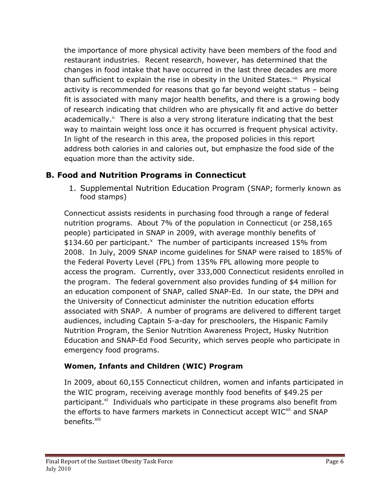the importance of more physical activity have been members of the food and restaurant industries. Recent research, however, has determined that the changes in food intake that have occurred in the last three decades are more than sufficient to explain the rise in obesity in the United States.<sup>viii</sup> Physical activity is recommended for reasons that go far beyond weight status – being fit is associated with many major health benefits, and there is a growing body of research indicating that children who are physically fit and active do better academically.<sup>ix</sup> There is also a very strong literature indicating that the best way to maintain weight loss once it has occurred is frequent physical activity. In light of the research in this area, the proposed policies in this report address both calories in and calories out, but emphasize the food side of the equation more than the activity side.

## **B. Food and Nutrition Programs in Connecticut**

1. Supplemental Nutrition Education Program (SNAP; formerly known as food stamps)

Connecticut assists residents in purchasing food through a range of federal nutrition programs. About 7% of the population in Connecticut (or 258,165 people) participated in SNAP in 2009, with average monthly benefits of  $$134.60$  per participant.<sup>x</sup> The number of participants increased 15% from 2008. In July, 2009 SNAP income guidelines for SNAP were raised to 185% of the Federal Poverty Level (FPL) from 135% FPL allowing more people to access the program. Currently, over 333,000 Connecticut residents enrolled in the program. The federal government also provides funding of \$4 million for an education component of SNAP, called SNAP-Ed. In our state, the DPH and the University of Connecticut administer the nutrition education efforts associated with SNAP. A number of programs are delivered to different target audiences, including Captain 5-a-day for preschoolers, the Hispanic Family Nutrition Program, the Senior Nutrition Awareness Project, Husky Nutrition Education and SNAP-Ed Food Security, which serves people who participate in emergency food programs.

### **Women, Infants and Children (WIC) Program**

In 2009, about 60,155 Connecticut children, women and infants participated in the WIC program, receiving average monthly food benefits of \$49.25 per participant. $x_i$  Individuals who participate in these programs also benefit from the efforts to have farmers markets in Connecticut accept WIC<sup>xii</sup> and SNAP benefits.<sup>xiii</sup>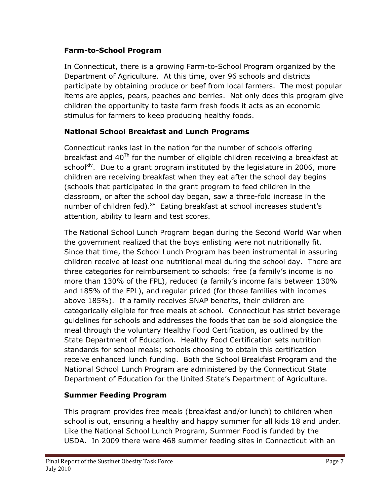#### **Farm-to-School Program**

In Connecticut, there is a growing Farm-to-School Program organized by the Department of Agriculture. At this time, over 96 schools and districts participate by obtaining produce or beef from local farmers. The most popular items are apples, pears, peaches and berries. Not only does this program give children the opportunity to taste farm fresh foods it acts as an economic stimulus for farmers to keep producing healthy foods.

## **National School Breakfast and Lunch Programs**

Connecticut ranks last in the nation for the number of schools offering breakfast and  $40^{Th}$  for the number of eligible children receiving a breakfast at school<sup>xiv</sup>. Due to a grant program instituted by the legislature in 2006, more children are receiving breakfast when they eat after the school day begins (schools that participated in the grant program to feed children in the classroom, or after the school day began, saw a three-fold increase in the number of children fed).<sup>xv</sup> Eating breakfast at school increases student's attention, ability to learn and test scores.

The National School Lunch Program began during the Second World War when the government realized that the boys enlisting were not nutritionally fit. Since that time, the School Lunch Program has been instrumental in assuring children receive at least one nutritional meal during the school day. There are three categories for reimbursement to schools: free (a family's income is no more than 130% of the FPL), reduced (a family's income falls between 130% and 185% of the FPL), and regular priced (for those families with incomes above 185%). If a family receives SNAP benefits, their children are categorically eligible for free meals at school. Connecticut has strict beverage guidelines for schools and addresses the foods that can be sold alongside the meal through the voluntary Healthy Food Certification, as outlined by the State Department of Education. Healthy Food Certification sets nutrition standards for school meals; schools choosing to obtain this certification receive enhanced lunch funding. Both the School Breakfast Program and the National School Lunch Program are administered by the Connecticut State Department of Education for the United State's Department of Agriculture.

## **Summer Feeding Program**

This program provides free meals (breakfast and/or lunch) to children when school is out, ensuring a healthy and happy summer for all kids 18 and under. Like the National School Lunch Program, Summer Food is funded by the USDA. In 2009 there were 468 summer feeding sites in Connecticut with an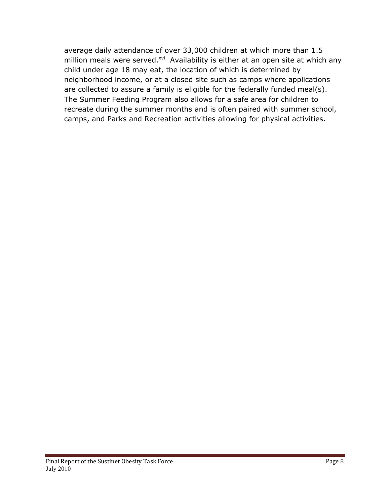average daily attendance of over 33,000 children at which more than 1.5 million meals were served.<sup>xvi</sup> Availability is either at an open site at which any child under age 18 may eat, the location of which is determined by neighborhood income, or at a closed site such as camps where applications are collected to assure a family is eligible for the federally funded meal(s). The Summer Feeding Program also allows for a safe area for children to recreate during the summer months and is often paired with summer school, camps, and Parks and Recreation activities allowing for physical activities.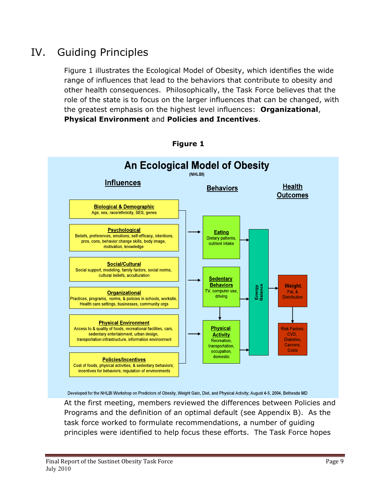# IV. Guiding Principles

Figure 1 illustrates the Ecological Model of Obesity, which identifies the wide range of influences that lead to the behaviors that contribute to obesity and other health consequences. Philosophically, the Task Force believes that the role of the state is to focus on the larger influences that can be changed, with the greatest emphasis on the highest level influences: **Organizational**, **Physical Environment** and **Policies and Incentives**.



At the first meeting, members reviewed the differences between Policies and Programs and the definition of an optimal default (see Appendix B). As the task force worked to formulate recommendations, a number of guiding principles were identified to help focus these efforts. The Task Force hopes

**Figure 1**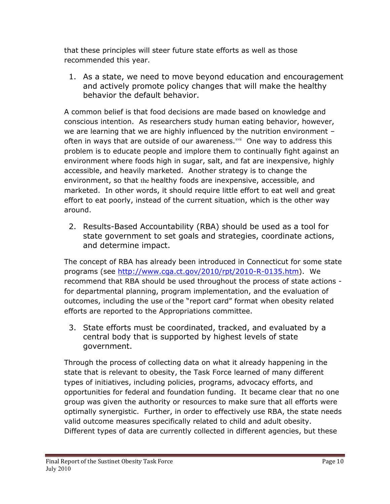that these principles will steer future state efforts as well as those recommended this year.

1. As a state, we need to move beyond education and encouragement and actively promote policy changes that will make the healthy behavior the default behavior.

A common belief is that food decisions are made based on knowledge and conscious intention. As researchers study human eating behavior, however, we are learning that we are highly influenced by the nutrition environment – often in ways that are outside of our awareness.xvii One way to address this problem is to educate people and implore them to continually fight against an environment where foods high in sugar, salt, and fat are inexpensive, highly accessible, and heavily marketed. Another strategy is to change the environment, so that the healthy foods are inexpensive, accessible, and marketed. In other words, it should require little effort to eat well and great effort to eat poorly, instead of the current situation, which is the other way around.

2. Results-Based Accountability (RBA) should be used as a tool for state government to set goals and strategies, coordinate actions, and determine impact.

The concept of RBA has already been introduced in Connecticut for some state programs (see http://www.cga.ct.gov/2010/rpt/2010-R-0135.htm). We recommend that RBA should be used throughout the process of state actions for departmental planning, program implementation, and the evaluation of outcomes, including the use of the "report card" format when obesity related efforts are reported to the Appropriations committee.

3. State efforts must be coordinated, tracked, and evaluated by a central body that is supported by highest levels of state government.

Through the process of collecting data on what it already happening in the state that is relevant to obesity, the Task Force learned of many different types of initiatives, including policies, programs, advocacy efforts, and opportunities for federal and foundation funding. It became clear that no one group was given the authority or resources to make sure that all efforts were optimally synergistic. Further, in order to effectively use RBA, the state needs valid outcome measures specifically related to child and adult obesity. Different types of data are currently collected in different agencies, but these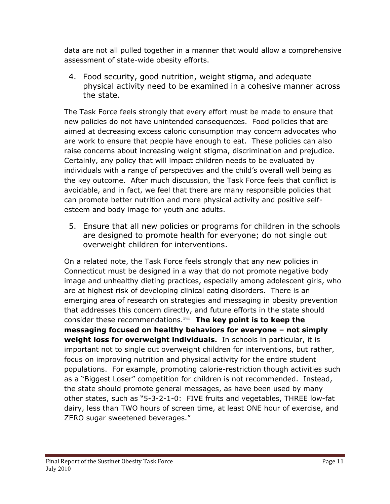data are not all pulled together in a manner that would allow a comprehensive assessment of state-wide obesity efforts.

4. Food security, good nutrition, weight stigma, and adequate physical activity need to be examined in a cohesive manner across the state.

The Task Force feels strongly that every effort must be made to ensure that new policies do not have unintended consequences. Food policies that are aimed at decreasing excess caloric consumption may concern advocates who are work to ensure that people have enough to eat. These policies can also raise concerns about increasing weight stigma, discrimination and prejudice. Certainly, any policy that will impact children needs to be evaluated by individuals with a range of perspectives and the child's overall well being as the key outcome. After much discussion, the Task Force feels that conflict is avoidable, and in fact, we feel that there are many responsible policies that can promote better nutrition and more physical activity and positive selfesteem and body image for youth and adults.

5. Ensure that all new policies or programs for children in the schools are designed to promote health for everyone; do not single out overweight children for interventions.

On a related note, the Task Force feels strongly that any new policies in Connecticut must be designed in a way that do not promote negative body image and unhealthy dieting practices, especially among adolescent girls, who are at highest risk of developing clinical eating disorders. There is an emerging area of research on strategies and messaging in obesity prevention that addresses this concern directly, and future efforts in the state should consider these recommendations.xviii **The key point is to keep the messaging focused on healthy behaviors for everyone – not simply weight loss for overweight individuals.** In schools in particular, it is important not to single out overweight children for interventions, but rather, focus on improving nutrition and physical activity for the entire student populations. For example, promoting calorie-restriction though activities such as a "Biggest Loser" competition for children is not recommended. Instead, the state should promote general messages, as have been used by many other states, such as "5-3-2-1-0: FIVE fruits and vegetables, THREE low-fat dairy, less than TWO hours of screen time, at least ONE hour of exercise, and ZERO sugar sweetened beverages."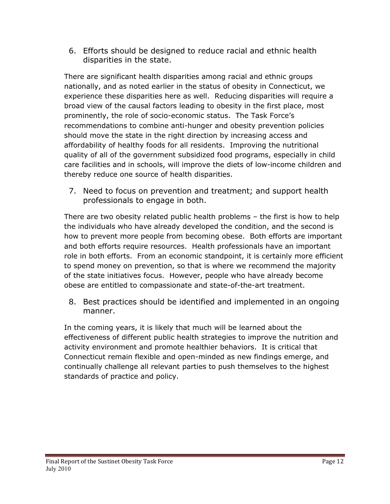6. Efforts should be designed to reduce racial and ethnic health disparities in the state.

There are significant health disparities among racial and ethnic groups nationally, and as noted earlier in the status of obesity in Connecticut, we experience these disparities here as well. Reducing disparities will require a broad view of the causal factors leading to obesity in the first place, most prominently, the role of socio-economic status. The Task Force's recommendations to combine anti-hunger and obesity prevention policies should move the state in the right direction by increasing access and affordability of healthy foods for all residents. Improving the nutritional quality of all of the government subsidized food programs, especially in child care facilities and in schools, will improve the diets of low-income children and thereby reduce one source of health disparities.

7. Need to focus on prevention and treatment; and support health professionals to engage in both.

There are two obesity related public health problems – the first is how to help the individuals who have already developed the condition, and the second is how to prevent more people from becoming obese. Both efforts are important and both efforts require resources. Health professionals have an important role in both efforts. From an economic standpoint, it is certainly more efficient to spend money on prevention, so that is where we recommend the majority of the state initiatives focus. However, people who have already become obese are entitled to compassionate and state-of-the-art treatment.

8. Best practices should be identified and implemented in an ongoing manner.

In the coming years, it is likely that much will be learned about the effectiveness of different public health strategies to improve the nutrition and activity environment and promote healthier behaviors. It is critical that Connecticut remain flexible and open-minded as new findings emerge, and continually challenge all relevant parties to push themselves to the highest standards of practice and policy.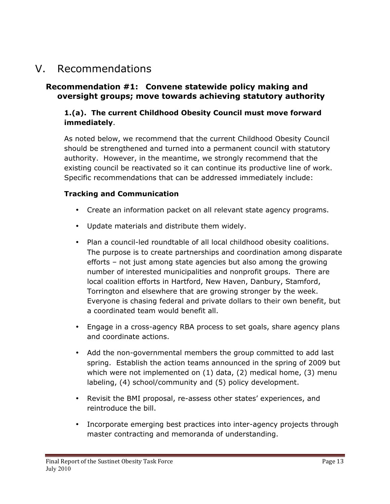# V. Recommendations

#### **Recommendation #1: Convene statewide policy making and oversight groups; move towards achieving statutory authority**

#### **1.(a). The current Childhood Obesity Council must move forward immediately**.

As noted below, we recommend that the current Childhood Obesity Council should be strengthened and turned into a permanent council with statutory authority. However, in the meantime, we strongly recommend that the existing council be reactivated so it can continue its productive line of work. Specific recommendations that can be addressed immediately include:

#### **Tracking and Communication**

- Create an information packet on all relevant state agency programs.
- Update materials and distribute them widely.
- Plan a council-led roundtable of all local childhood obesity coalitions. The purpose is to create partnerships and coordination among disparate efforts – not just among state agencies but also among the growing number of interested municipalities and nonprofit groups. There are local coalition efforts in Hartford, New Haven, Danbury, Stamford, Torrington and elsewhere that are growing stronger by the week. Everyone is chasing federal and private dollars to their own benefit, but a coordinated team would benefit all.
- Engage in a cross-agency RBA process to set goals, share agency plans and coordinate actions.
- Add the non-governmental members the group committed to add last spring. Establish the action teams announced in the spring of 2009 but which were not implemented on  $(1)$  data,  $(2)$  medical home,  $(3)$  menu labeling, (4) school/community and (5) policy development.
- Revisit the BMI proposal, re-assess other states' experiences, and reintroduce the bill.
- Incorporate emerging best practices into inter-agency projects through master contracting and memoranda of understanding.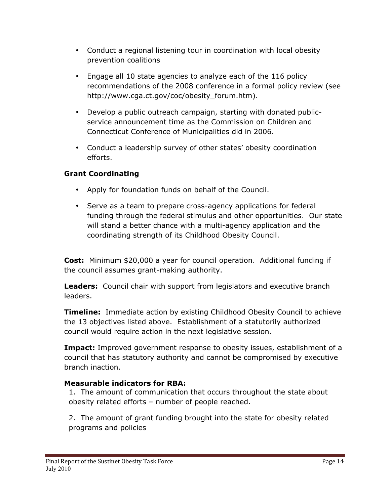- Conduct a regional listening tour in coordination with local obesity prevention coalitions
- Engage all 10 state agencies to analyze each of the 116 policy recommendations of the 2008 conference in a formal policy review (see http://www.cga.ct.gov/coc/obesity\_forum.htm).
- Develop a public outreach campaign, starting with donated publicservice announcement time as the Commission on Children and Connecticut Conference of Municipalities did in 2006.
- Conduct a leadership survey of other states' obesity coordination efforts.

## **Grant Coordinating**

- Apply for foundation funds on behalf of the Council.
- Serve as a team to prepare cross-agency applications for federal funding through the federal stimulus and other opportunities. Our state will stand a better chance with a multi-agency application and the coordinating strength of its Childhood Obesity Council.

**Cost:** Minimum \$20,000 a year for council operation. Additional funding if the council assumes grant-making authority.

**Leaders:** Council chair with support from legislators and executive branch leaders.

**Timeline:** Immediate action by existing Childhood Obesity Council to achieve the 13 objectives listed above. Establishment of a statutorily authorized council would require action in the next legislative session.

**Impact:** Improved government response to obesity issues, establishment of a council that has statutory authority and cannot be compromised by executive branch inaction.

### **Measurable indicators for RBA:**

1. The amount of communication that occurs throughout the state about obesity related efforts – number of people reached.

2. The amount of grant funding brought into the state for obesity related programs and policies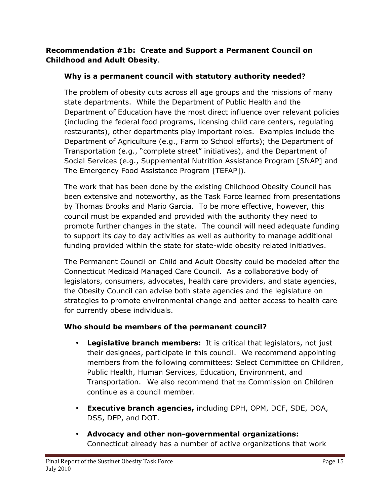#### **Recommendation #1b: Create and Support a Permanent Council on Childhood and Adult Obesity**.

## **Why is a permanent council with statutory authority needed?**

The problem of obesity cuts across all age groups and the missions of many state departments. While the Department of Public Health and the Department of Education have the most direct influence over relevant policies (including the federal food programs, licensing child care centers, regulating restaurants), other departments play important roles. Examples include the Department of Agriculture (e.g., Farm to School efforts); the Department of Transportation (e.g., "complete street" initiatives), and the Department of Social Services (e.g., Supplemental Nutrition Assistance Program [SNAP] and The Emergency Food Assistance Program [TEFAP]).

The work that has been done by the existing Childhood Obesity Council has been extensive and noteworthy, as the Task Force learned from presentations by Thomas Brooks and Mario Garcia. To be more effective, however, this council must be expanded and provided with the authority they need to promote further changes in the state. The council will need adequate funding to support its day to day activities as well as authority to manage additional funding provided within the state for state-wide obesity related initiatives.

The Permanent Council on Child and Adult Obesity could be modeled after the Connecticut Medicaid Managed Care Council. As a collaborative body of legislators, consumers, advocates, health care providers, and state agencies, the Obesity Council can advise both state agencies and the legislature on strategies to promote environmental change and better access to health care for currently obese individuals.

### **Who should be members of the permanent council?**

- **Legislative branch members:** It is critical that legislators, not just their designees, participate in this council. We recommend appointing members from the following committees: Select Committee on Children, Public Health, Human Services, Education, Environment, and Transportation. We also recommend that the Commission on Children continue as a council member.
- **Executive branch agencies,** including DPH, OPM, DCF, SDE, DOA, DSS, DEP, and DOT.
- **Advocacy and other non-governmental organizations:**  Connecticut already has a number of active organizations that work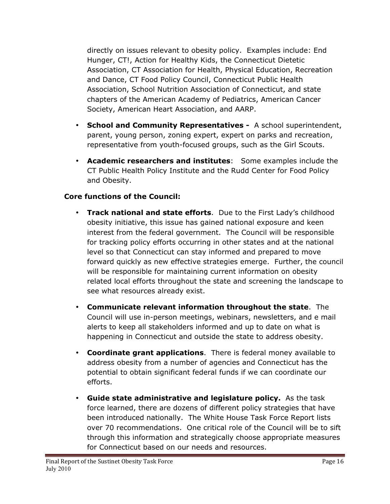directly on issues relevant to obesity policy. Examples include: End Hunger, CT!, Action for Healthy Kids, the Connecticut Dietetic Association, CT Association for Health, Physical Education, Recreation and Dance, CT Food Policy Council, Connecticut Public Health Association, School Nutrition Association of Connecticut, and state chapters of the American Academy of Pediatrics, American Cancer Society, American Heart Association, and AARP.

- **School and Community Representatives -** A school superintendent, parent, young person, zoning expert, expert on parks and recreation, representative from youth-focused groups, such as the Girl Scouts.
- **Academic researchers and institutes**: Some examples include the CT Public Health Policy Institute and the Rudd Center for Food Policy and Obesity.

### **Core functions of the Council:**

- **Track national and state efforts**. Due to the First Lady's childhood obesity initiative, this issue has gained national exposure and keen interest from the federal government. The Council will be responsible for tracking policy efforts occurring in other states and at the national level so that Connecticut can stay informed and prepared to move forward quickly as new effective strategies emerge. Further, the council will be responsible for maintaining current information on obesity related local efforts throughout the state and screening the landscape to see what resources already exist.
- **Communicate relevant information throughout the state**. The Council will use in-person meetings, webinars, newsletters, and e mail alerts to keep all stakeholders informed and up to date on what is happening in Connecticut and outside the state to address obesity.
- **Coordinate grant applications**. There is federal money available to address obesity from a number of agencies and Connecticut has the potential to obtain significant federal funds if we can coordinate our efforts.
- **Guide state administrative and legislature policy.** As the task force learned, there are dozens of different policy strategies that have been introduced nationally. The White House Task Force Report lists over 70 recommendations. One critical role of the Council will be to sift through this information and strategically choose appropriate measures for Connecticut based on our needs and resources.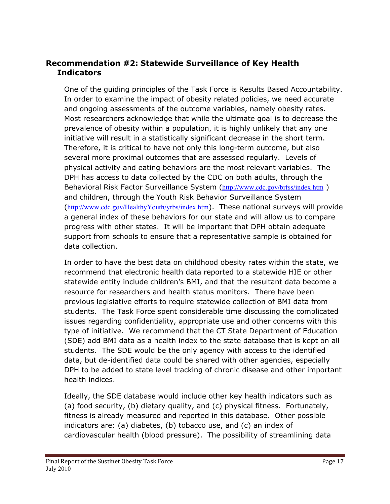### **Recommendation #2: Statewide Surveillance of Key Health Indicators**

One of the guiding principles of the Task Force is Results Based Accountability. In order to examine the impact of obesity related policies, we need accurate and ongoing assessments of the outcome variables, namely obesity rates. Most researchers acknowledge that while the ultimate goal is to decrease the prevalence of obesity within a population, it is highly unlikely that any one initiative will result in a statistically significant decrease in the short term. Therefore, it is critical to have not only this long-term outcome, but also several more proximal outcomes that are assessed regularly. Levels of physical activity and eating behaviors are the most relevant variables. The DPH has access to data collected by the CDC on both adults, through the Behavioral Risk Factor Surveillance System (http://www.cdc.gov/brfss/index.htm) and children, through the Youth Risk Behavior Surveillance System (http://www.cdc.gov/HealthyYouth/yrbs/index.htm). These national surveys will provide a general index of these behaviors for our state and will allow us to compare progress with other states. It will be important that DPH obtain adequate support from schools to ensure that a representative sample is obtained for data collection.

In order to have the best data on childhood obesity rates within the state, we recommend that electronic health data reported to a statewide HIE or other statewide entity include children's BMI, and that the resultant data become a resource for researchers and health status monitors. There have been previous legislative efforts to require statewide collection of BMI data from students. The Task Force spent considerable time discussing the complicated issues regarding confidentiality, appropriate use and other concerns with this type of initiative. We recommend that the CT State Department of Education (SDE) add BMI data as a health index to the state database that is kept on all students. The SDE would be the only agency with access to the identified data, but de-identified data could be shared with other agencies, especially DPH to be added to state level tracking of chronic disease and other important health indices.

Ideally, the SDE database would include other key health indicators such as (a) food security, (b) dietary quality, and (c) physical fitness. Fortunately, fitness is already measured and reported in this database. Other possible indicators are: (a) diabetes, (b) tobacco use, and (c) an index of cardiovascular health (blood pressure). The possibility of streamlining data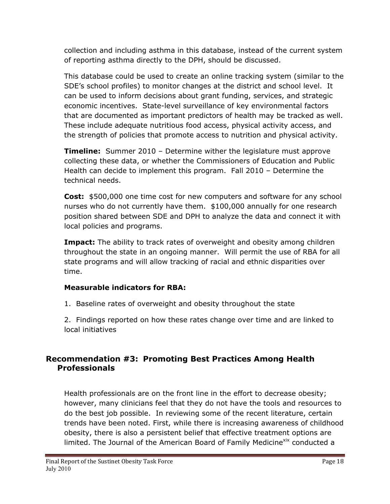collection and including asthma in this database, instead of the current system of reporting asthma directly to the DPH, should be discussed.

This database could be used to create an online tracking system (similar to the SDE's school profiles) to monitor changes at the district and school level. It can be used to inform decisions about grant funding, services, and strategic economic incentives. State-level surveillance of key environmental factors that are documented as important predictors of health may be tracked as well. These include adequate nutritious food access, physical activity access, and the strength of policies that promote access to nutrition and physical activity.

**Timeline:** Summer 2010 – Determine wither the legislature must approve collecting these data, or whether the Commissioners of Education and Public Health can decide to implement this program. Fall 2010 – Determine the technical needs.

**Cost:** \$500,000 one time cost for new computers and software for any school nurses who do not currently have them. \$100,000 annually for one research position shared between SDE and DPH to analyze the data and connect it with local policies and programs.

**Impact:** The ability to track rates of overweight and obesity among children throughout the state in an ongoing manner. Will permit the use of RBA for all state programs and will allow tracking of racial and ethnic disparities over time.

### **Measurable indicators for RBA:**

1. Baseline rates of overweight and obesity throughout the state

2. Findings reported on how these rates change over time and are linked to local initiatives

### **Recommendation #3: Promoting Best Practices Among Health Professionals**

Health professionals are on the front line in the effort to decrease obesity; however, many clinicians feel that they do not have the tools and resources to do the best job possible. In reviewing some of the recent literature, certain trends have been noted. First, while there is increasing awareness of childhood obesity, there is also a persistent belief that effective treatment options are limited. The Journal of the American Board of Family Medicine<sup>xix</sup> conducted a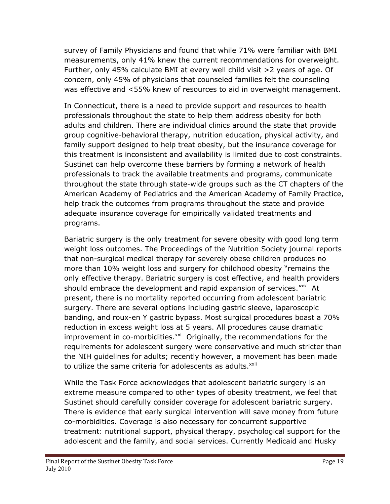survey of Family Physicians and found that while 71% were familiar with BMI measurements, only 41% knew the current recommendations for overweight. Further, only 45% calculate BMI at every well child visit >2 years of age. Of concern, only 45% of physicians that counseled families felt the counseling was effective and <55% knew of resources to aid in overweight management.

In Connecticut, there is a need to provide support and resources to health professionals throughout the state to help them address obesity for both adults and children. There are individual clinics around the state that provide group cognitive-behavioral therapy, nutrition education, physical activity, and family support designed to help treat obesity, but the insurance coverage for this treatment is inconsistent and availability is limited due to cost constraints. Sustinet can help overcome these barriers by forming a network of health professionals to track the available treatments and programs, communicate throughout the state through state-wide groups such as the CT chapters of the American Academy of Pediatrics and the American Academy of Family Practice, help track the outcomes from programs throughout the state and provide adequate insurance coverage for empirically validated treatments and programs.

Bariatric surgery is the only treatment for severe obesity with good long term weight loss outcomes. The Proceedings of the Nutrition Society journal reports that non-surgical medical therapy for severely obese children produces no more than 10% weight loss and surgery for childhood obesity "remains the only effective therapy. Bariatric surgery is cost effective, and health providers should embrace the development and rapid expansion of services."xx At present, there is no mortality reported occurring from adolescent bariatric surgery. There are several options including gastric sleeve, laparoscopic banding, and roux-en Y gastric bypass. Most surgical procedures boast a 70% reduction in excess weight loss at 5 years. All procedures cause dramatic improvement in co-morbidities. $x^2$  Originally, the recommendations for the requirements for adolescent surgery were conservative and much stricter than the NIH guidelines for adults; recently however, a movement has been made to utilize the same criteria for adolescents as adults.<sup>xxii</sup>

While the Task Force acknowledges that adolescent bariatric surgery is an extreme measure compared to other types of obesity treatment, we feel that Sustinet should carefully consider coverage for adolescent bariatric surgery. There is evidence that early surgical intervention will save money from future co-morbidities. Coverage is also necessary for concurrent supportive treatment: nutritional support, physical therapy, psychological support for the adolescent and the family, and social services. Currently Medicaid and Husky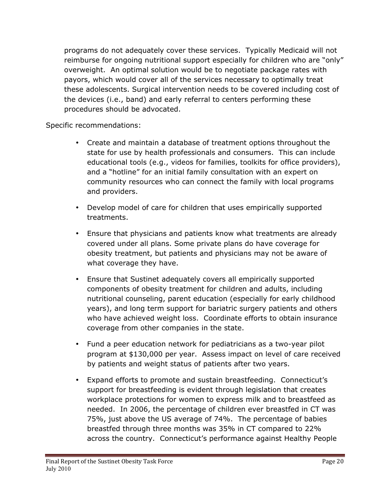programs do not adequately cover these services. Typically Medicaid will not reimburse for ongoing nutritional support especially for children who are "only" overweight. An optimal solution would be to negotiate package rates with payors, which would cover all of the services necessary to optimally treat these adolescents. Surgical intervention needs to be covered including cost of the devices (i.e., band) and early referral to centers performing these procedures should be advocated.

Specific recommendations:

- Create and maintain a database of treatment options throughout the state for use by health professionals and consumers. This can include educational tools (e.g., videos for families, toolkits for office providers), and a "hotline" for an initial family consultation with an expert on community resources who can connect the family with local programs and providers.
- Develop model of care for children that uses empirically supported treatments.
- Ensure that physicians and patients know what treatments are already covered under all plans. Some private plans do have coverage for obesity treatment, but patients and physicians may not be aware of what coverage they have.
- Ensure that Sustinet adequately covers all empirically supported components of obesity treatment for children and adults, including nutritional counseling, parent education (especially for early childhood years), and long term support for bariatric surgery patients and others who have achieved weight loss. Coordinate efforts to obtain insurance coverage from other companies in the state.
- Fund a peer education network for pediatricians as a two-year pilot program at \$130,000 per year. Assess impact on level of care received by patients and weight status of patients after two years.
- Expand efforts to promote and sustain breastfeeding. Connecticut's support for breastfeeding is evident through legislation that creates workplace protections for women to express milk and to breastfeed as needed. In 2006, the percentage of children ever breastfed in CT was 75%, just above the US average of 74%. The percentage of babies breastfed through three months was 35% in CT compared to 22% across the country. Connecticut's performance against Healthy People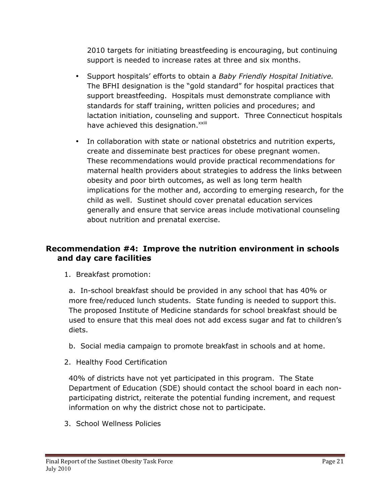2010 targets for initiating breastfeeding is encouraging, but continuing support is needed to increase rates at three and six months.

- Support hospitals' efforts to obtain a *Baby Friendly Hospital Initiative.*  The BFHI designation is the "gold standard" for hospital practices that support breastfeeding. Hospitals must demonstrate compliance with standards for staff training, written policies and procedures; and lactation initiation, counseling and support. Three Connecticut hospitals have achieved this designation.<sup>xxiii</sup>
- In collaboration with state or national obstetrics and nutrition experts, create and disseminate best practices for obese pregnant women. These recommendations would provide practical recommendations for maternal health providers about strategies to address the links between obesity and poor birth outcomes, as well as long term health implications for the mother and, according to emerging research, for the child as well. Sustinet should cover prenatal education services generally and ensure that service areas include motivational counseling about nutrition and prenatal exercise.

### **Recommendation #4: Improve the nutrition environment in schools and day care facilities**

1. Breakfast promotion:

a. In-school breakfast should be provided in any school that has 40% or more free/reduced lunch students. State funding is needed to support this. The proposed Institute of Medicine standards for school breakfast should be used to ensure that this meal does not add excess sugar and fat to children's diets.

- b. Social media campaign to promote breakfast in schools and at home.
- 2. Healthy Food Certification

40% of districts have not yet participated in this program. The State Department of Education (SDE) should contact the school board in each nonparticipating district, reiterate the potential funding increment, and request information on why the district chose not to participate.

3. School Wellness Policies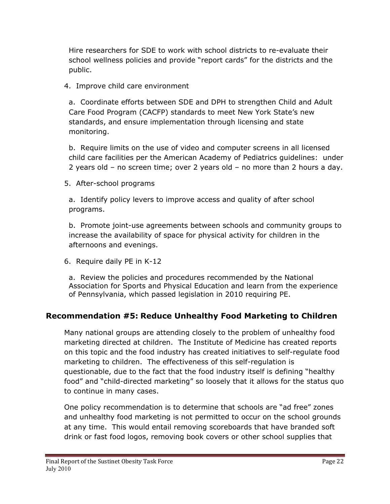Hire researchers for SDE to work with school districts to re-evaluate their school wellness policies and provide "report cards" for the districts and the public.

### 4. Improve child care environment

a. Coordinate efforts between SDE and DPH to strengthen Child and Adult Care Food Program (CACFP) standards to meet New York State's new standards, and ensure implementation through licensing and state monitoring.

b. Require limits on the use of video and computer screens in all licensed child care facilities per the American Academy of Pediatrics guidelines: under 2 years old – no screen time; over 2 years old – no more than 2 hours a day.

5. After-school programs

a. Identify policy levers to improve access and quality of after school programs.

b. Promote joint-use agreements between schools and community groups to increase the availability of space for physical activity for children in the afternoons and evenings.

6. Require daily PE in K-12

a. Review the policies and procedures recommended by the National Association for Sports and Physical Education and learn from the experience of Pennsylvania, which passed legislation in 2010 requiring PE.

### **Recommendation #5: Reduce Unhealthy Food Marketing to Children**

Many national groups are attending closely to the problem of unhealthy food marketing directed at children. The Institute of Medicine has created reports on this topic and the food industry has created initiatives to self-regulate food marketing to children. The effectiveness of this self-regulation is questionable, due to the fact that the food industry itself is defining "healthy food" and "child-directed marketing" so loosely that it allows for the status quo to continue in many cases.

One policy recommendation is to determine that schools are "ad free" zones and unhealthy food marketing is not permitted to occur on the school grounds at any time. This would entail removing scoreboards that have branded soft drink or fast food logos, removing book covers or other school supplies that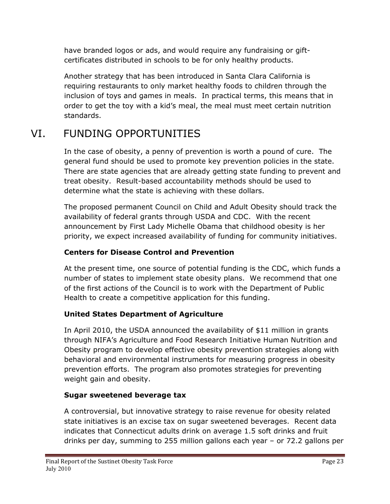have branded logos or ads, and would require any fundraising or giftcertificates distributed in schools to be for only healthy products.

Another strategy that has been introduced in Santa Clara California is requiring restaurants to only market healthy foods to children through the inclusion of toys and games in meals. In practical terms, this means that in order to get the toy with a kid's meal, the meal must meet certain nutrition standards.

# VI. FUNDING OPPORTUNITIES

In the case of obesity, a penny of prevention is worth a pound of cure. The general fund should be used to promote key prevention policies in the state. There are state agencies that are already getting state funding to prevent and treat obesity. Result-based accountability methods should be used to determine what the state is achieving with these dollars.

The proposed permanent Council on Child and Adult Obesity should track the availability of federal grants through USDA and CDC. With the recent announcement by First Lady Michelle Obama that childhood obesity is her priority, we expect increased availability of funding for community initiatives.

### **Centers for Disease Control and Prevention**

At the present time, one source of potential funding is the CDC, which funds a number of states to implement state obesity plans. We recommend that one of the first actions of the Council is to work with the Department of Public Health to create a competitive application for this funding.

## **United States Department of Agriculture**

In April 2010, the USDA announced the availability of \$11 million in grants through NIFA's Agriculture and Food Research Initiative Human Nutrition and Obesity program to develop effective obesity prevention strategies along with behavioral and environmental instruments for measuring progress in obesity prevention efforts. The program also promotes strategies for preventing weight gain and obesity.

### **Sugar sweetened beverage tax**

A controversial, but innovative strategy to raise revenue for obesity related state initiatives is an excise tax on sugar sweetened beverages. Recent data indicates that Connecticut adults drink on average 1.5 soft drinks and fruit drinks per day, summing to 255 million gallons each year – or 72.2 gallons per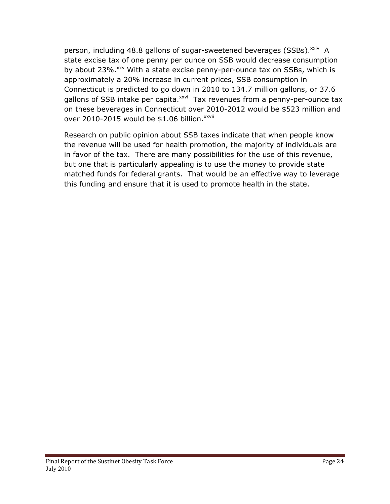person, including 48.8 gallons of sugar-sweetened beverages (SSBs). xxiv A state excise tax of one penny per ounce on SSB would decrease consumption by about 23%.<sup>xxv</sup> With a state excise penny-per-ounce tax on SSBs, which is approximately a 20% increase in current prices, SSB consumption in Connecticut is predicted to go down in 2010 to 134.7 million gallons, or 37.6 gallons of SSB intake per capita.<sup>xxvi</sup> Tax revenues from a penny-per-ounce tax on these beverages in Connecticut over 2010-2012 would be \$523 million and over 2010-2015 would be  $$1.06$  billion.<sup>xxvii</sup>

Research on public opinion about SSB taxes indicate that when people know the revenue will be used for health promotion, the majority of individuals are in favor of the tax. There are many possibilities for the use of this revenue, but one that is particularly appealing is to use the money to provide state matched funds for federal grants. That would be an effective way to leverage this funding and ensure that it is used to promote health in the state.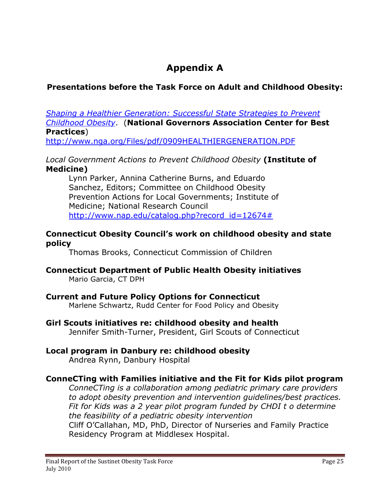# **Appendix A**

## **Presentations before the Task Force on Adult and Childhood Obesity:**

*Shaping a Healthier Generation: Successful State Strategies to Prevent Childhood Obesity*. (**National Governors Association Center for Best Practices**)

http://www.nga.org/Files/pdf/0909HEALTHIERGENERATION.PDF

#### *Local Government Actions to Prevent Childhood Obesity* **(Institute of Medicine)**

Lynn Parker, Annina Catherine Burns, and Eduardo Sanchez, Editors; Committee on Childhood Obesity Prevention Actions for Local Governments; Institute of Medicine; National Research Council http://www.nap.edu/catalog.php?record\_id=12674#

#### **Connecticut Obesity Council's work on childhood obesity and state policy**

Thomas Brooks, Connecticut Commission of Children

#### **Connecticut Department of Public Health Obesity initiatives** Mario Garcia, CT DPH

### **Current and Future Policy Options for Connecticut**

Marlene Schwartz, Rudd Center for Food Policy and Obesity

#### **Girl Scouts initiatives re: childhood obesity and health**

Jennifer Smith-Turner, President, Girl Scouts of Connecticut

## **Local program in Danbury re: childhood obesity**

Andrea Rynn, Danbury Hospital

### **ConneCTing with Families initiative and the Fit for Kids pilot program**

*ConneCTing is a collaboration among pediatric primary care providers to adopt obesity prevention and intervention guidelines/best practices. Fit for Kids was a 2 year pilot program funded by CHDI t o determine the feasibility of a pediatric obesity intervention*

Cliff O'Callahan, MD, PhD, Director of Nurseries and Family Practice Residency Program at Middlesex Hospital.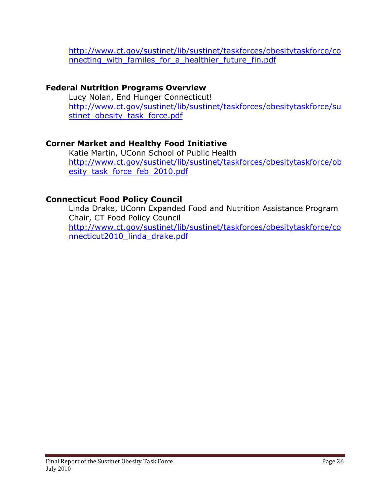http://www.ct.gov/sustinet/lib/sustinet/taskforces/obesitytaskforce/co nnecting with familes for a healthier future fin.pdf

### **Federal Nutrition Programs Overview**

Lucy Nolan, End Hunger Connecticut! http://www.ct.gov/sustinet/lib/sustinet/taskforces/obesitytaskforce/su stinet obesity task force.pdf

## **Corner Market and Healthy Food Initiative**

Katie Martin, UConn School of Public Health http://www.ct.gov/sustinet/lib/sustinet/taskforces/obesitytaskforce/ob esity\_task\_force\_feb\_2010.pdf

## **Connecticut Food Policy Council**

Linda Drake, UConn Expanded Food and Nutrition Assistance Program Chair, CT Food Policy Council http://www.ct.gov/sustinet/lib/sustinet/taskforces/obesitytaskforce/co nnecticut2010\_linda\_drake.pdf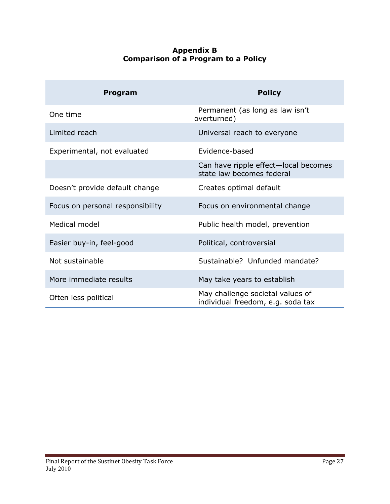#### **Appendix B Comparison of a Program to a Policy**

| <b>Program</b>                   | <b>Policy</b>                                                         |
|----------------------------------|-----------------------------------------------------------------------|
| One time                         | Permanent (as long as law isn't<br>overturned)                        |
| Limited reach                    | Universal reach to everyone                                           |
| Experimental, not evaluated      | Evidence-based                                                        |
|                                  | Can have ripple effect-local becomes<br>state law becomes federal     |
| Doesn't provide default change   | Creates optimal default                                               |
| Focus on personal responsibility | Focus on environmental change                                         |
| Medical model                    | Public health model, prevention                                       |
| Easier buy-in, feel-good         | Political, controversial                                              |
| Not sustainable                  | Sustainable? Unfunded mandate?                                        |
| More immediate results           | May take years to establish                                           |
| Often less political             | May challenge societal values of<br>individual freedom, e.g. soda tax |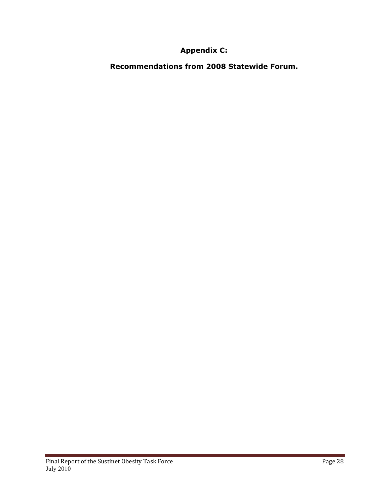## **Appendix C:**

**Recommendations from 2008 Statewide Forum.**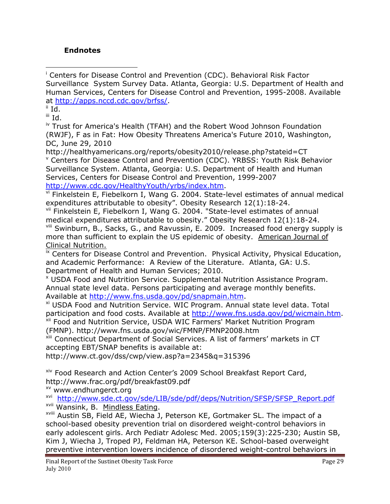#### **Endnotes**

 $\overline{a}$ i Centers for Disease Control and Prevention (CDC). Behavioral Risk Factor Surveillance System Survey Data. Atlanta, Georgia: U.S. Department of Health and Human Services, Centers for Disease Control and Prevention, 1995-2008. Available at http://apps.nccd.cdc.gov/brfss/.

 $i$ <sup>ii</sup> Id.

iii Id.

iv Trust for America's Health (TFAH) and the Robert Wood Johnson Foundation (RWJF), F as in Fat: How Obesity Threatens America's Future 2010, Washington, DC, June 29, 2010

http://healthyamericans.org/reports/obesity2010/release.php?stateid=CT v Centers for Disease Control and Prevention (CDC). YRBSS: Youth Risk Behavior Surveillance System. Atlanta, Georgia: U.S. Department of Health and Human Services, Centers for Disease Control and Prevention, 1999-2007 http://www.cdc.gov/HealthyYouth/yrbs/index.htm.

vi Finkelstein E, Fiebelkorn I, Wang G. 2004. State-level estimates of annual medical expenditures attributable to obesity". Obesity Research 12(1):18-24.

vii Finkelstein E, Fiebelkorn I, Wang G. 2004. "State-level estimates of annual medical expenditures attributable to obesity." Obesity Research 12(1):18-24.

viii Swinburn, B., Sacks, G., and Ravussin, E. 2009. Increased food energy supply is more than sufficient to explain the US epidemic of obesity. American Journal of Clinical Nutrition.

 $i<sup>x</sup>$  Centers for Disease Control and Prevention. Physical Activity, Physical Education, and Academic Performance: A Review of the Literature. Atlanta, GA: U.S. Department of Health and Human Services; 2010.

x USDA Food and Nutrition Service. Supplemental Nutrition Assistance Program. Annual state level data. Persons participating and average monthly benefits. Available at http://www.fns.usda.gov/pd/snapmain.htm.

xi USDA Food and Nutrition Service. WIC Program. Annual state level data. Total participation and food costs. Available at http://www.fns.usda.gov/pd/wicmain.htm. xii Food and Nutrition Service, USDA WIC Farmers' Market Nutrition Program (FMNP). http://www.fns.usda.gov/wic/FMNP/FMNP2008.htm

xiii Connecticut Department of Social Services. A list of farmers' markets in CT accepting EBT/SNAP benefits is available at:

http://www.ct.gov/dss/cwp/view.asp?a=2345&q=315396

<sup>xiv</sup> Food Research and Action Center's 2009 School Breakfast Report Card, http://www.frac.org/pdf/breakfast09.pdf

xv www.endhungerct.org

xvi http://www.sde.ct.gov/sde/LIB/sde/pdf/deps/Nutrition/SFSP/SFSP\_Report.pdf

<sup>xvii</sup> Wansink, B. Mindless Eating.<br><sup>xviii</sup> Austin SB, Field AE, Wiecha J, Peterson KE, Gortmaker SL. The impact of a school-based obesity prevention trial on disordered weight-control behaviors in early adolescent girls. Arch Pediatr Adolesc Med. 2005;159(3):225-230; Austin SB, Kim J, Wiecha J, Troped PJ, Feldman HA, Peterson KE. School-based overweight preventive intervention lowers incidence of disordered weight-control behaviors in